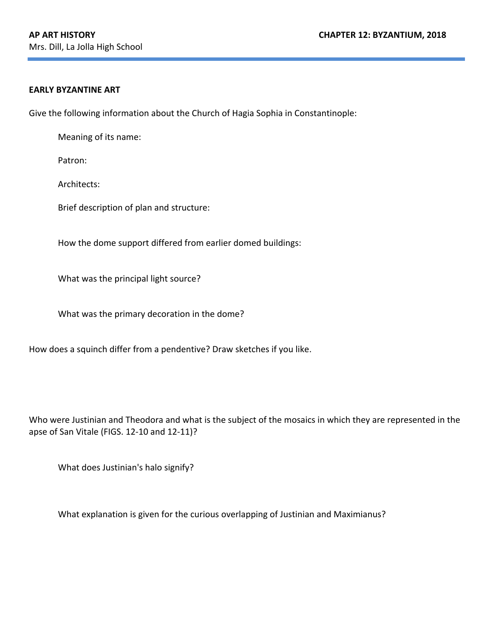## **EARLY BYZANTINE ART**

Give the following information about the Church of Hagia Sophia in Constantinople:

Meaning of its name:

Patron:

Architects: 

Brief description of plan and structure:

How the dome support differed from earlier domed buildings:

What was the principal light source?

What was the primary decoration in the dome?

How does a squinch differ from a pendentive? Draw sketches if you like.

Who were Justinian and Theodora and what is the subject of the mosaics in which they are represented in the apse of San Vitale (FIGS. 12-10 and 12-11)?

What does Justinian's halo signify?

What explanation is given for the curious overlapping of Justinian and Maximianus?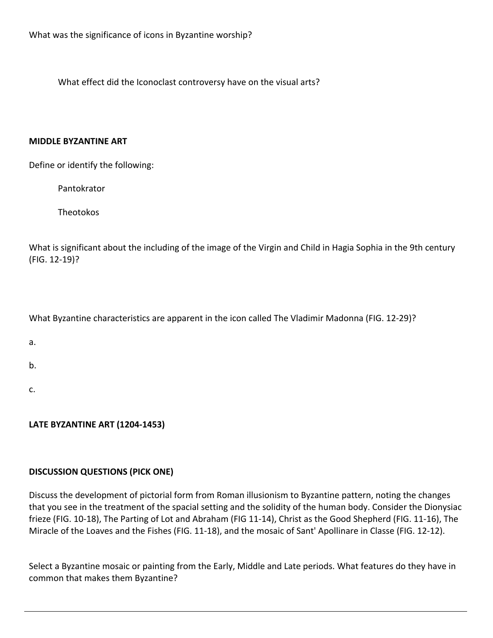What effect did the Iconoclast controversy have on the visual arts?

## **MIDDLE BYZANTINE ART**

Define or identify the following:

Pantokrator 

**Theotokos** 

What is significant about the including of the image of the Virgin and Child in Hagia Sophia in the 9th century (FIG. 12-19)?

What Byzantine characteristics are apparent in the icon called The Vladimir Madonna (FIG. 12-29)?

b. 

c. 

**LATE BYZANTINE ART (1204-1453)** 

## **DISCUSSION QUESTIONS (PICK ONE)**

Discuss the development of pictorial form from Roman illusionism to Byzantine pattern, noting the changes that you see in the treatment of the spacial setting and the solidity of the human body. Consider the Dionysiac frieze (FIG. 10-18), The Parting of Lot and Abraham (FIG 11-14), Christ as the Good Shepherd (FIG. 11-16), The Miracle of the Loaves and the Fishes (FIG. 11-18), and the mosaic of Sant' Apollinare in Classe (FIG. 12-12).

Select a Byzantine mosaic or painting from the Early, Middle and Late periods. What features do they have in common that makes them Byzantine?